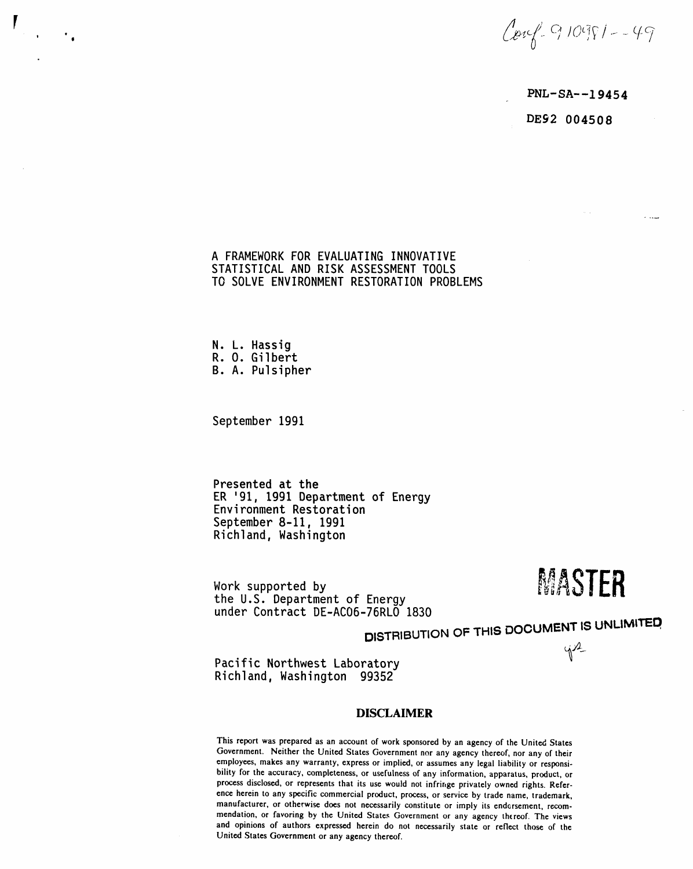$Covf - 910981 - -49$ 

 $PNL-SA--19454$ DE92 004508

A FRAMEWORK FOR EVALUATING INNOVATIVE STATISTICAL AND RISK ASSESSMENT TOOLS TO SOLVE ENVIRONMENT RESTORATION PROBLEMS

N. L. Hassig R. O. Gilbert B. A. Pulsipher

September 1991

Presented at the ER '91, 1991 Department of Energy Environment Restoration September 8-11, 1991 Richland, Washington

Work supported by the U.S. Department of Energy under Contract DE-AC06-76RLO 1830

MASTER

 $42$ 

DISTRIBUTION OF THIS DOCUMENT IS UNLIMITED

Pacific Northwest Laboratory Richland, Washington 99352

#### **DISCLAIMER**

This report was prepared as an account of work sponsored by an agency of the United States Government. Neither the United States Government nor any agency thereof, nor any of their employees, makes any warranty, express or implied, or assumes any legal liability or responsibility for the accuracy, completeness, or usefulness of any information, apparatus, product, or process disclosed, or represents that its use would not infringe privately owned rights. Reference herein to any specific commercial product, process, or service by trade name, trademark, manufacturer, or otherwise does not necessarily constitute or imply its endorsement, recommendation, or favoring by the United States Government or any agency thereof. The views and opinions of authors expressed herein do not necessarily state or reflect those of the United States Government or any agency thereof.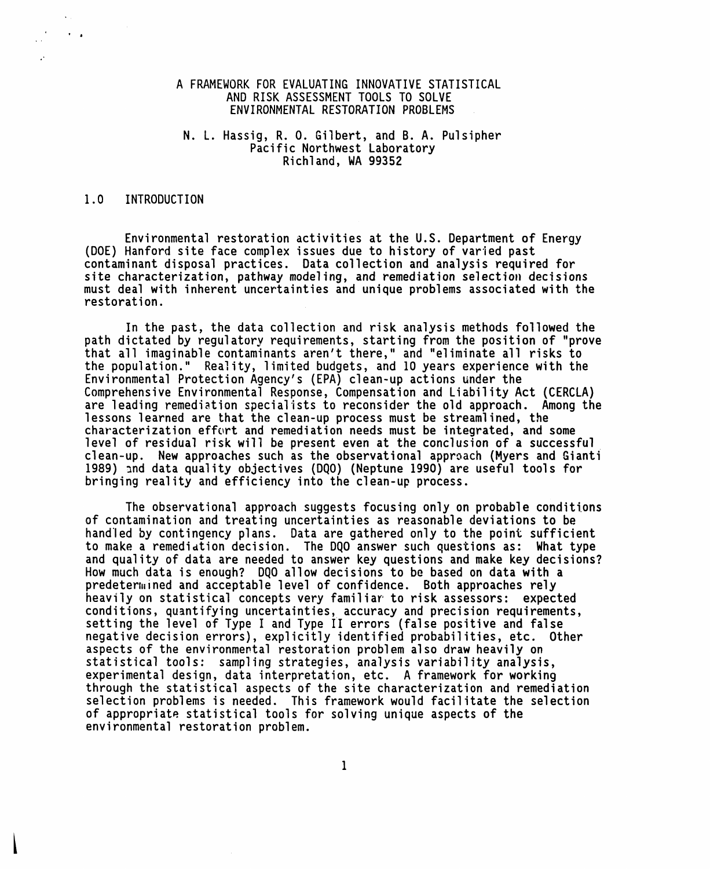# A FRAMEWORK FOR EVALUATING INNOVATIVE STATISTICAL AND RISK ASSESSMENT TOOLS TO SOLVE ENVIRONMENTAL RESTORATION PROBLEMS

# N. L. Hassig, R. O. Gilbert, and B. A. Pulsipher Pacific Northwest Laboratory Richland, WA99352

#### 1.0 INTRODUCTION

t •

o,

Environmental restoration activities at the U.S. Department of Energy (DOE) Hanford site face complex issues due to history of varied past contaminant disposal practices. Data collection and analysis required for site characterization, pathway modeling, and remediation selection decisions must deal with inherent uncertainties and unique problems associated with the restoration.

In the past, the data collection and risk analysis methods followed the path dictated by regulatory requirements, starting from the position of "prove that all imaginable contaminants aren't there," and "eliminate all risks to the population." Reality, limited budgets, and 10 years experience with the Environmental Protection Agency's (EPA) clean-up actions under the Comprehensive Environmental Response, Compensation and Liability Act (CERCLA) are leading remediation specialists to reconsider the old approach. Among the lessons learned are that the clean-up process must be streamlined, the characterization effort and remediation needs must be integrated, and some level of residual risk will be present even at the conclusion of a successful clean-up. New approaches such as the observational approach (Myers and Gianti 1989) \_nd data quality objectives (DQO) (Neptune 1990) are useful tools for bringing reality and efficiency into the clean-up process.

The observational approach suggests focusing only on probable conditions of contamination and treating uncertainties as reasonable deviations to be handled by contingency plans. Data are gathered only to the point sufficient to make a remediation decision. The DQO answer such questions as: What type and quality of data are needed to answer key questions and make key decisions? How much data is enough? DQO allow decisions to be based on data with a predetermined and acceptable level of confidence. Both approaches rely heavily on statistical concepts very familiar'to risk assessors: expected conditions, quantifying uncertainties,accuracy and precision requirements, setting the level of Type I and Type II errors (false positive and false negative decision errors), explicitly identified probabilities, etc. Other aspects of the environmental restoration problem also draw heavily on statistical tools: sampling strategies, analysis variability analysis, experimental design, data interpretation, etc. A framework for working through the statistical aspects of the site characterization and remediation selection problems is needed. This framework would facilitate the selection of appropriate statistical tools for solving unique aspects of the environmental restoration problem.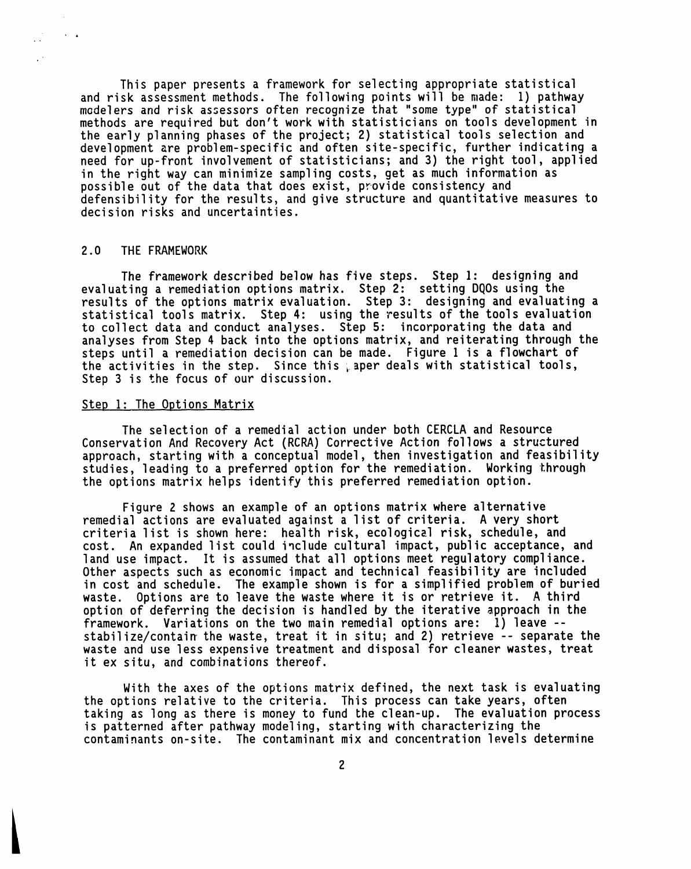This paper presents a framework for selecting appropriate statistical and risk assessment methods. The following points will be made: 1) pathway modelers and risk assessors often recognize that "some type" of statistical methods are required but don't work with statisticians on tools development in the early planning phases of the project; 2) statistical tools selection and development are problem-specific and often site-specific, further indicating a need for up-front involvementof statisticians;and 3) the right tool, applied in the right way can minimize sampling costs, get as much information as possible out of the data that does exist, provide consistency and defensibility for the results, and give structure and quantitativemeasures to decision risks and uncertainties.

### 2.0 THE FRAMEWORK

 $\sim$   $\sim$ 

 $\ddot{\phantom{a}}$  $\mathbb{R}^{\mathbb{Z}}$ 

> The framework described below has five steps. Step 1: designing and evaluating a remediation options matrix. Step 2: setting DQUs using the results of the options matrix evaluation. Step 3: designing and evaluating a statistical tools matrix. Step 4: using the results of the tools evaluation to collect data and conduct analyses. Step 5: incorporating the data and analyses from Step 4 back into the options matrix, and reiterating through the steps until a remediation decision can be made. Figure 1 is a flowchart of the activities in the step. Since this paper deals with statistical tools, Step 3 is the focus of our discussion.

### Step I: The Options Matrix

The selection of a remedial action under both CERCLA and Resource Conservation And Recovery Act (RCRA) Corrective Action follows a structured approach, starting with a conceptual model, then investigation and feasibility studies, leading to a preferred option for the remediation. Working through the options matrix helps identify this preferred remediation option.

Figure 2 shows an example of an options matrix where alternative remedial actions are evaluated against a list of criteria. A very short criteria list is shown here: health risk, ecological risk, schedule, and cost. An expanded list could include cultural impact, public acceptance, and land use impact, lt is assumed that all options meet regulatory compliance. Other aspects such as economic impact and technical feasibilityare included in cost and schedule. The example shown is for a simplified problem of buried waste. Options are to leave the waste where it is or retrieve it. A third option of deferring the decision is handled by the iterative approach in the framework. Variations on the two main remedial options are: I) leave - stabilize/contain the waste, treat it in situ; and 2) retrieve -- separate the waste and use less expensive treatment and disposal for cleaner wastes, treat it ex situ, and combinations thereof.

With the axes of the options matrix defined, the next task is evaluating the options relative to the criteria. This process can take years, often taking as long as there is money to fund the clean-up. The evaluation process is patterned after pathway modeling, starting with characterizing the contaminants on-site. The contaminant mix and concentration levels determine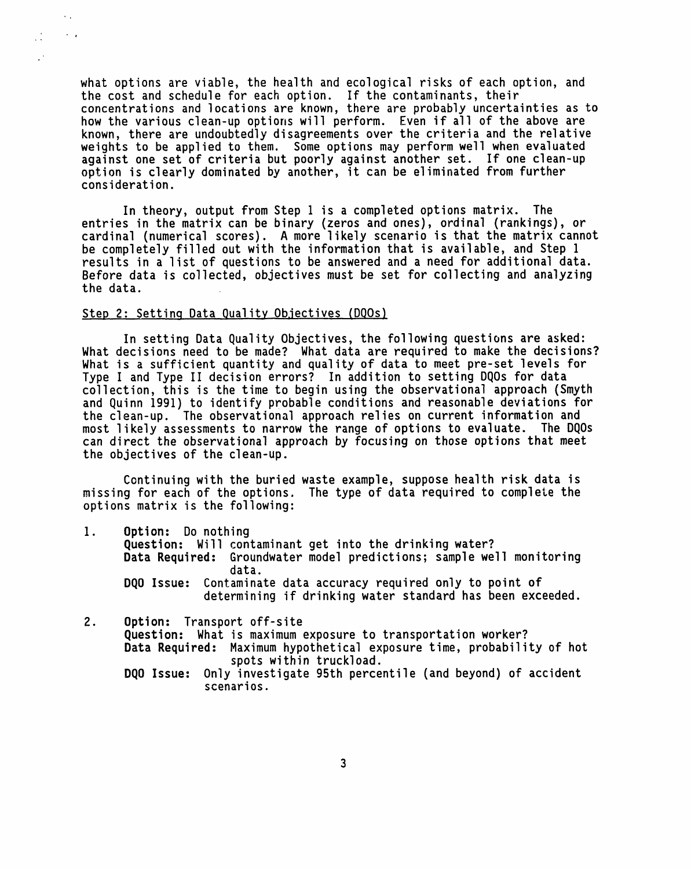what options are viable, the health and ecological risks of each option, and the cost and schedule for each option. If the contaminants, their concentrations and locations are known, there are probably uncertainties as to how the various clean-up options will perform. Even if all of the above are known, there are undoubtedly disagreements over the criteria and the relative weights to be applied to them. Some options may perform well when evaluated against one set of criteria but poorly against another set. If one clean-up option is clearly dominated by another, it can be eliminated from further consideration.

In theory, output from Step I is a completed options matrix. The entries in the matrix can be binary (zeros and ones), ordinal (rankings), or cardinal (numerical scores). A more likely scenario is that the matrix cannot be completely filled out with the information that is available, and Step 1 results in a list of questions to be answered and a need for additional data. Before data is collected, objectives must be set for collecting and analyzing the data.

#### Step 2: Setting Data Quality Objectives (DQOs)

 $\lambda_{\rm{max}}$ 

 $\sim$   $\sim$ 

 $\mathbb{Z}^{\mathbb{Z}}$ 

 $\mathbb{R}^3$ 

In setting Data Quality Objectives, the following questions are asked: What decisions need to be made? What data are required to make the decisions? What is a sufficient quantity and quality of data to meet pre-set levels for Type I and Type II decision errors? In addition to setting DQOs for data collection, this is the time to begin using the observationalapproach (Smyth and Quinn 1991) to identify probable conditions and reasonable deviations for the clean-up. The observational approach relies on current information and most likely assessments to narrow the range of options to evaluate. The DQOs can direct the observationalapproach by focusing on those options that meet the objectives of the clean-up.

Continuing with the buried waste example, suppose health risk data is missing for each of the options. The type of data required to complete the options matrix is the following:

- I. Option: Do nothing Question: Will contaminant get into the drinking water? Data Required: Groundwater model predictions; sample well monitoring data. DQO Issue: Contaminate data accuracy required only to point of determining if drinking water standard has been exceeded.
- 2. Option: Transport off-site Question: What is maximum exposure to transportation worker? Data Required: Maximum hypothetical exposure time, probability of hot spots within truckload. DQO Issue: Only investigate 95th percentile (and beyond) of accident scenarios.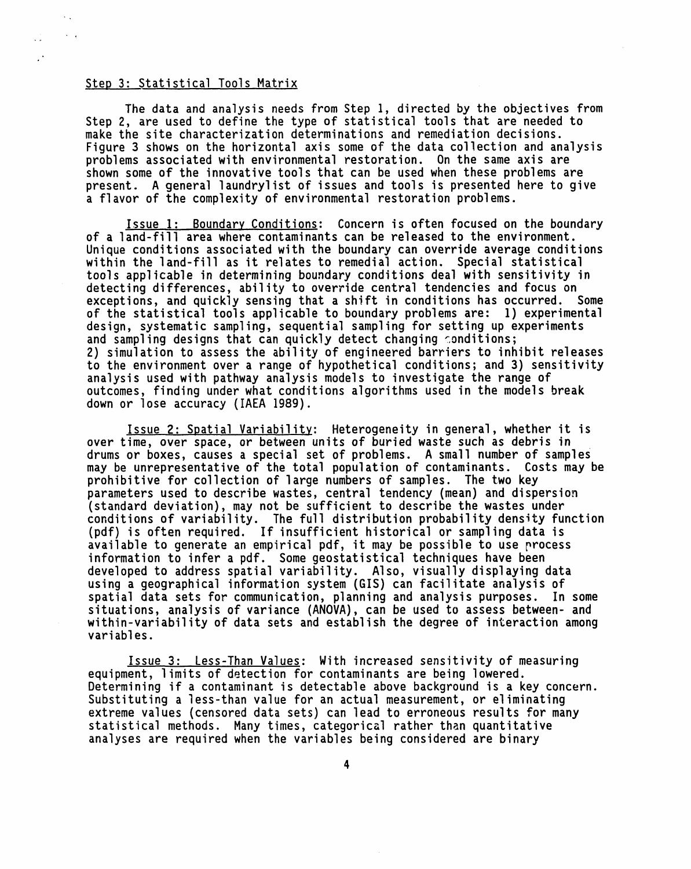## Step 3: Statistical Tools Matrix

 $\sim$   $\sim$  $\sim$   $\sim$ 

 $\mathbf{r}$  $\ddot{\phantom{1}}$ 

> The data and analysis needs from Step I, directed by the objectives from Step 2, are used to define the type of statistical tools that are needed to make the site characterization determinations and remediation decisions. Figure 3 shows on the horizontal axis some of the data collection and analysis problems associated with environmental restoration. On the same axis are shown some of the innovative tools that can be used when these problems are present. A general laundrylistof issues and tools is presented here to give a flavor of the complexity of environmental restoration problems.

> Issue 1: Boundary Conditions: Concern is often focused on the boundary of a land-fill area where contaminants can be released to the environment. Unique conditions associated with the boundary can override average conditions within the land-fill as it relates to remedial action. Special statistical tools applicable in determining boundary conditions deal with sensitivity in detecting differences, ability to override central tendencies and focus on exceptions, and quickly sensing that a shift in conditions has occurred. Some of the statistical tools applicable to boundary problems are: I) experimental design, systematic sampling, sequential sampling for setting up experiments and sampling designs that can quickly detect changing conditions; 2) simulation to assess the ability of engineered barriers to inhibit releases to the environment over a range of hypothetical conditions;and 3) sensitivity analysis used with pathway analysis models to investigate the range of outcomes, finding under what conditions algorithms used in the models break down or lose accuracy (IAEA 1989).

> Issue 2: Spatial Variability: Heterogeneity in general, whether it is over time, over space, or between units of buried waste such as debris in drums or boxes, causes a special set of problems. A small number of samples may be unrepresentative of the total population of contaminants. Costs may be prohibitive for collection of large numbers of samples. The two key parameters used to describe wastes, central tendency (mean) and dispersion (standard deviation), may not be sufficient to describe the wastes under conditions of variability. The full distribution probabilitydensity function (pdf) is often required. If insufficient historical or sampling data is available to generate an empirical pdf, it may be possible to use process information to infer a pdf. Some geostatistical techniques have been developed to address spatial variability. Also, visually displaying data using a geographical information system (GIS) can facilitate analysis of spatial data sets for communication, planning and analysis purposes. In some situations, analysis of variance (ANOVA), can be used to assess between- and within-variability of data sets and establish the degree of interaction among variables.

Issue 3: Less-Than Values: With increased sensitivity of measuring equipment, limits of detection for contaminants are being lowered. Determining if a contaminant is detectable above background is a key concern. Substituting a less-than value for an actual measurement, or eliminating extreme values (censored data sets) can lead to erroneous results for many statisticalmethods. Many times, categorical rather than quantitative analyses are required when the variables being considered are binary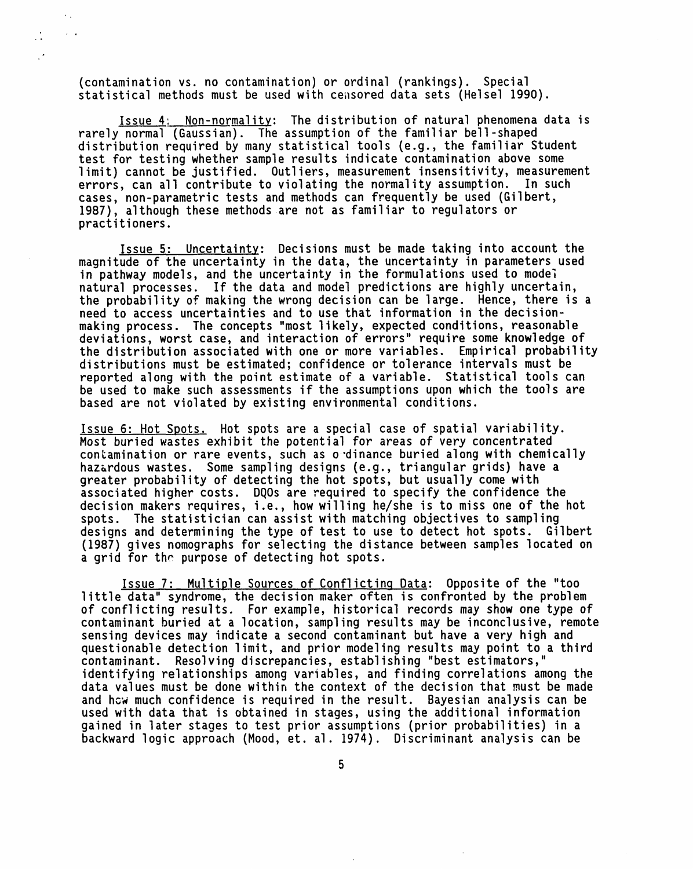(contamination vs. no contamination) or ordinal (rankings). Special statistical methods must be used with censored data sets (Helsel 1990).

 $\ddot{\phantom{0}}$ 

 $\cdot$ 

 $\hat{\mathcal{C}}_{\text{A}}$  $\sim$   $\alpha$ 

> Issue 4: Non-normality: The distribution of natural phenomena data is rarely normal (Gaussian). The assumption of the familiar bell-shaped distribution required by many statistical tools (e.g., the familiar Student test for testing whether sample results indicate contamination above some limit) cannot be justified. Outliers, measurement insensitivity, measurement errors, can all contribute to violating the normality assumption. In such cases, non-parametric tests and methods can frequently be used (Gilbert, 1987), although these methods are not as familiar to regulators or practitioners.

Issue 5: Uncertainty: Decisions must be made taking into account the magnitude of the uncertainty in the data, the uncertainty in parameters used in pathway models, and the uncertainty in the formulations used to model natural processes. If the data and model predictions are highly uncertain, the probability of making the wrong decision can be large. Hence, there is a need to access uncertainties and to use that information in the decisionmaking process. The concepts "most likely, expected conditions, reasonable deviations, worst case, and interaction of errors" require some knowledge of the distribution associated with one or more variables. Empirical probability distributions must be estimated; confidence or tolerance intervals must be reported along with the point estimate of a variable. Statistical tools can be used to make such assessments if the assumptions upon which the tools are based are not violated by existing environmental conditions.

Issue 6: Hot Spots. Hot spots are a special case of spatial variability. Most buried wastes exhibit the potential for areas of very concentrated contamination or rare events, such as o dinance buried along with chemically hazardous wastes. Some sampling designs (e.g., triangular grids) have a greater probability of detecting the hot spots, but usually come with associated higher costs. DQOs are required to specify the confidence the decision makers requires, i.e., how willing he/she is to miss one of the hot spots. The statistician can assist with matching objectives to sampling designs and determining the type of test to use to detect hot spots. Gilbert  $(1987)$  gives nomographs for selecting the distance between samples located on a grid for the purpose of detecting hot spots.

Issue 7: Multiple Sources of Conflictinq Data: Opposite of the "too little data" syndrome, the decision maker often is confronted by the problem of conflicting results. For example, historical records may show one type of contaminant buried at a location, sampling results may be inconclusive, remote sensing devices may indicatea second contaminant but have a very high and questionable detection limit, and prior modeling results may point to a third contaminant. Resolving discrepancies, establishing "best estimators,' identifying relationships among variables, and finding correlations among the data values must be done within the context of the decision that must be made and hcw much confidence is required in the result. Bayesian analysis can be used with data that is obtained in stages, using the additional information gained in later stages to test prior assumptions (prior probabilities)in a backward logic approach (Mood, et. al. 1974). Discriminant analysis can be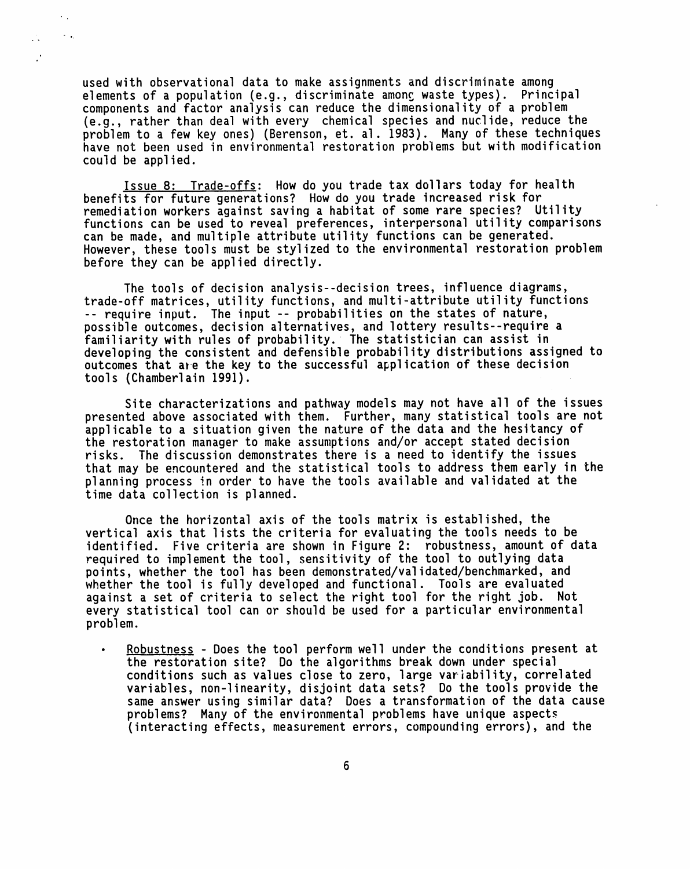used with observational data to make assignments and discriminate among elements of a population (e.g., discriminate among waste types). Principal components and factor analysis can reduce the dimensionalityof a problem (e.g., rather than deal with every chemical species and nuclide, reduce the problem to a few key ones) (Berenson, et. al. 1983). Many of these techniques have not been used in environmental restoration problems but with modification could be applied.

 $\sim 10$ 

 $\mathcal{L}_{\mathcal{A}}$ 

Issue 8: Trade-offs: How do you trade tax dollars today for health benefits for future generations? How do you trade increased risk for remediation workers against saving a habitat of some rare species? Utility functions can be used to reveal preferences, interpersonal utility comparisons can be made, and multiple attribute utility functions can be generated. However, these tools must be stylized to the environmental restoration problem before they can be applied directly.

The tools of decision analysis--decision trees, influence diagrams, trade-off matrices, utility functions, and multi-attribute utility functions -- require input. The input -- probabilities on the states of nature, possible outcomes, decision alternatives, and lottery results--require a familiarity with rules of probability. The statistician can assist in developing the consistent and defensible probability distributions assigned to outcomes that are the key to the successful application of these decision tools (Chamberlain 1991).

Site characterizations and pathway models may not have all of the issues presented above associated with them. Further, many statistical tools are not applicable to a situation given the nature of the data and the hesitancy of the restoration manager to make assumptionsand/or accept stated decision risks. The discussion demonstrates there is a need to identify the issues that may be encountered and the statistical tools to address them early in the planning process in order to have the tools available and validated at the time data collection is planned.

Once the horizontal axis of the tools matrix is established, the vertical axis that lists the criteria for evaluating the tools needs to be identified. Five criteria are shown in Figure 2: robustness, amount of data required to implement the tool, sensitivity of the tool to outlying data points, whether the tool has been demonstrated/validated/benchmarked, and whether the tool is fully developed and functional. Tools are evaluated against a set of criteria to select the right tool for the right job. Not every statistical tool can or should be used for a particular environmental problem.

• Robustness - Does the tool perform well under the conditions present at the restoration site? Do the algorithms break down under special conditions such as values close to zero, large variability, correlated variables, non-linearity, disjoint data sets? Do the tools provide the same answer using similar data? Does a transformation of the data cause problems? Many of the environmental problems have unique aspects (interactingeffects, measurement errors, compounding errors), and the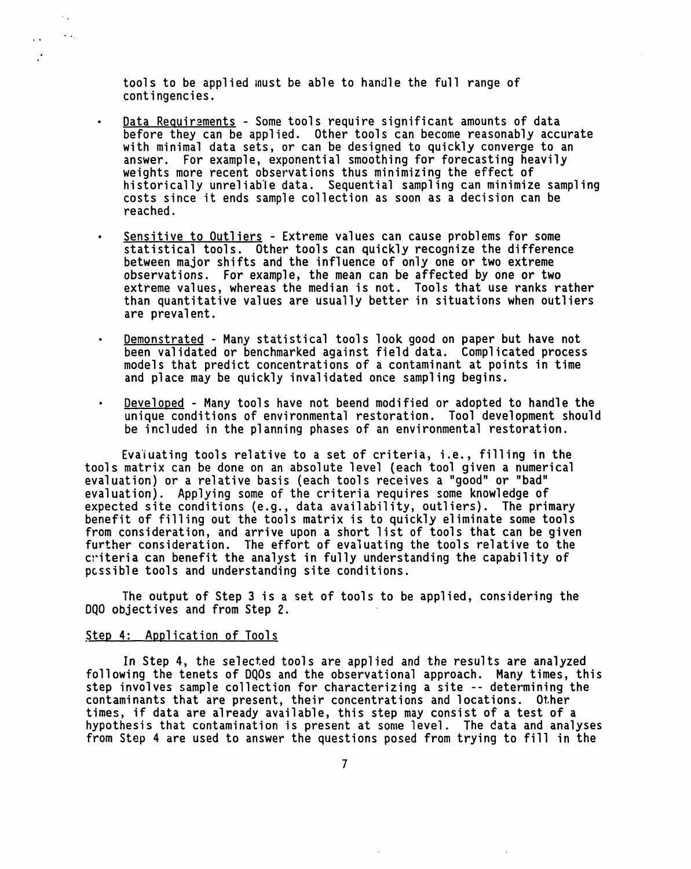t**oo**ls t**o** b**e** applied i**n**ustbe able to handle the full range of contingencies.

- Data Requirements Some tools require significant amounts of data before they can be applied. Other tools can become reasonably accurate with minimal data sets, or can be designed to quickly converge to an answer. For example, exponential smoothing for forecasting heavily weights more recent observations thus minimizing the effect of historically unreliable data. Sequential sampling can minimize sampling costs since it ends sample collection as soon as a decision can be reached.
- Sensitive to Outliers Extreme values can cause problems for some statistical tools. Other tools can quickly recognize the difference between major shifts and the influence of only one or two extreme observations. For example, the mean can be affected by one or two extreme values, whereas the median is not. Tools that use ranks rather than quantitative values are usually better in situations when outliers are prevale**n**t.
- Demonstrated Many statistical tools look good on paper but have not been validated or benchmarked against field data. Complicated process models that predict concentrations of a contaminant at points in time and place may be quickly invalidated once sampling begins.
- Developed Many tools have not beend modified or adopted to handle the unique conditions of environmental restoration. Tool development should be included in the planning phases of an environmental restoration.

Evaluating tools relative to a set of criteria, i.e., filling in the tools matrix can be done on an absolute level (each tool given a numerical evaluation) or a relative basis (each tools receives a "good" or "bad" evaluation). Applying some of the criteria requires some knowledge of expected site conditions (e.g., data availability, outliers). The primary benefit of filling out the tools matrix is to quickly eliminate some tools from consideration, and arrive upon a short list of tools that can be given further consideration. The effort of evaluating the tools relative to the criteria can benefit the analyst in fully understanding the capability of pcssible tools and understanding site conditions.

The output of Step 3 is a set of tools to be applied, considering the DQO objectives and from Step 2.

### Step 4: Application of Tools

°\_

 $\ddot{\phantom{0}}$ 

 $\sim$   $_{\star}$  $\mathcal{L}_{\text{max}}$ 

> In Step 4, the selected tools are applied and the results are analyzed following the tenets of DQOs and the observationalapproach. Many times, this step involves sample collection for characterizing a site -- determining the contaminants that are present, their concentrations and locations. Other times, if data are already available, this step may consist of a test of a hypothesis that c**o**ntaminationis present at some level. The data and analyses from Step 4 are used to answer the questions posed from trying to fill in the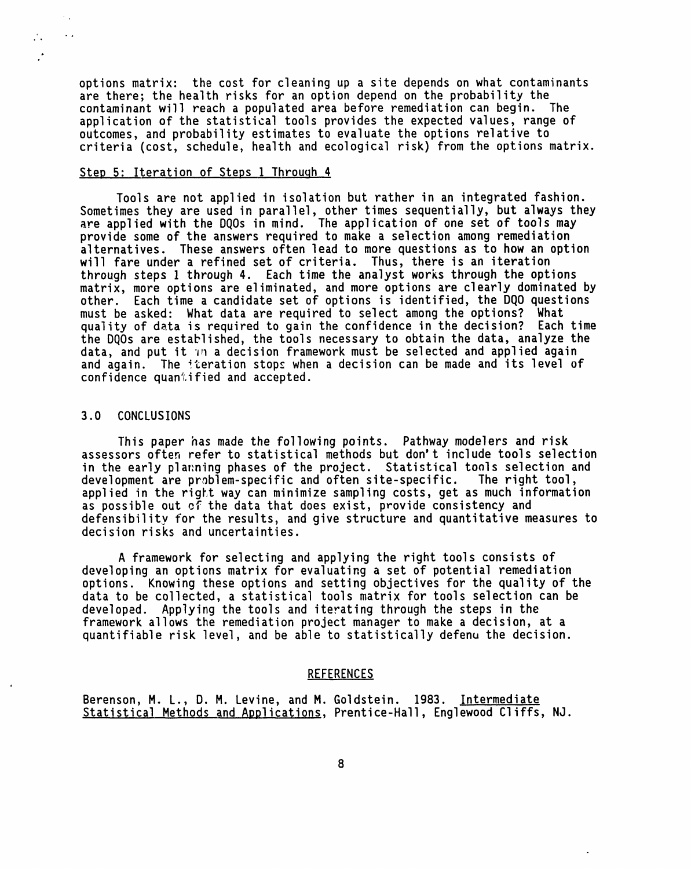options matrix: the cost for cleaning up a site depends on what contaminants are there; the health risks for an option depend on the probability the contaminant will reach a populated area before remediation can begin. The application of the statistical tools provides the expected values, range of outcomes, and probabilityestimates to evaluate the options relative to criteria (cost, schedule, health and ecological risk) from the options matrix.

#### Step 5: Iteration of Steps 1 Through 4

Tools are not applied in isolation but rather in an integrated fashion. Sometimes they are used in parallel, other times sequentially, but always they are applied with the DQOs in mind. The application of one set of tools may provide some of the answers required to make a selection among remediation alternatives. These answers often lead to more questions as to how an option will fare under a refined set of criteria. Thus, there is an iteration through steps I through 4. Each time the analyst works through the options matrix, more options are eliminated, and more options are clearly dominated by other. Each time a candidate set of options is identified, the DQO questions must be asked: What data are required to select among the options? What quality of data is required to gain the confidence in the decision? Each time the DOOs are established, the tools necessary to obtain the data, analyze the data, and put it in a decision framework must be selected and applied again and again. The iteration stops when a decision can be made and its level of confidence quan%ified and accepted.

## 3.0 CONCLUSIONS

 $\sim$   $_{\star}$  $\ddot{\phantom{0}}$ 

 $\mathcal{L}_{\mathcal{A}}$  $\mathcal{L}$ 

> This paper has made the following points. Pathway modelers and risk assessors often refer to statistical methods but don't include tools selection in the early planning phases of the project. Statistical tools selection and development are problem-specific and often site-specific. The right tool, applied in the right way can minimize sampling costs, get as much information as possible out ef the data that does exist, provide consistency and defensibility for the results, and give structure and quantitative measures to decision risks and uncertainties.

A framework for selecting and applying the right tools consists of developing an options matrix for evaluating a set of potential remediation options. Knowing these options and setting objectives for the quality of the data to be collected, a statistical tools matrix for tools selection can be developed. Applying the tools and iterating through the steps in the framework allows the remediation project manager to make a decision, at a quantifiable risk level, and be able to statisticallydefenu the decision.

### REFERENCES

Berenson, M. L., D. M. Levine, and M. Goldstein. 1983. Intermediate Statistical Methods and Applications, Prentice-Hall, Englewood Cliffs, NJ.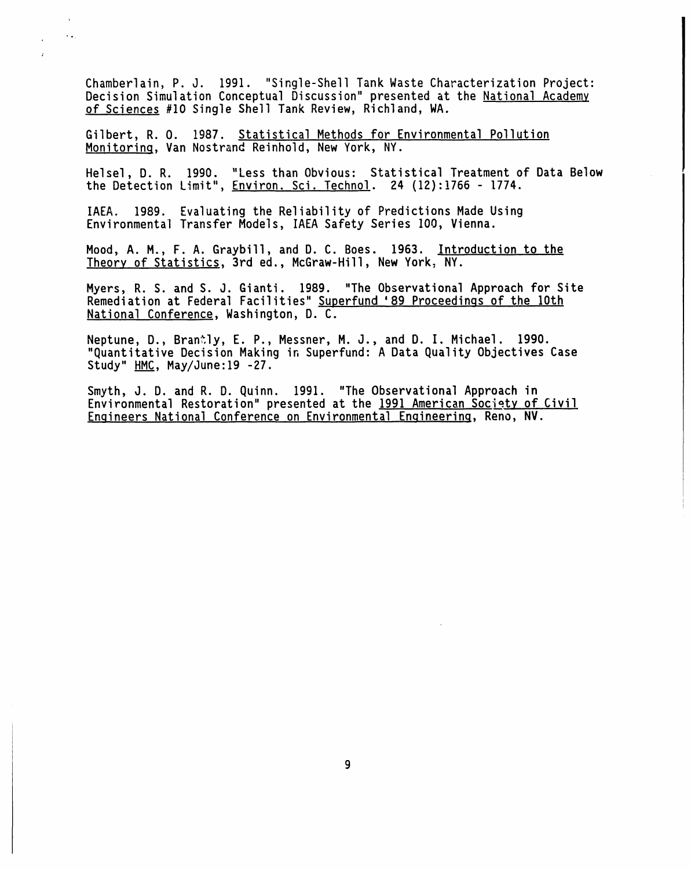Chamberlain, P. J. 1991. "Single-Shell Tank Waste Characterization Project: Decision Simulation Conceptual Discussion"presented at the National Academy of Sciences #10 Single Shell Tank Review, Richland, WA.

Gilbert, R. O. 1987. Statistical Methods for Environmental Pollution Monitoring, Van Nostrand Reinhold, New York, NY.

 $\ddot{\phantom{a}}$  $\ddotsc$ 

 $\mathbf{r}$ 

Helsel, D. R. 1990. "Less than Obvious: Statistical Treatment of Data Below the Detection Limit", Environ. Sci. Technol. 24 (12):1766 - 1774.

IAEA. 1989. Evaluating the Reliability of Predictions Made Using Environmental Transfer Models, IAEA Safety Series 100, Vienna.

Mood, A. M., F. A. Graybill, and D. C. Boes. 1963. Introduction to the Theory of Statistics, 3rd ed., McGraw-Hill, New York, NY.

Myers, R. S. and S. J. Gianti. 1989. "The Observational Approach for Site Remediation at Federal Facilities" Superfund '89 Proceedings of the 10th National Conference, Washington, D. C.

Neptune, D., Brantly, E. P., Messner, M. J., and D. I. Michael. 1990. "Quantitative Decision Making in Superfund: A Data Quality Objectives Case Study" HMC, May/June:19 -27.

Smyth, J. D. and R. D. Quinn. 1991. "The Observational Approach in Environmental Restoration" presented at the 1991 American Society of Civil Enqineers National Conference on EnvironmentalEn**qineering**, Reno, NV.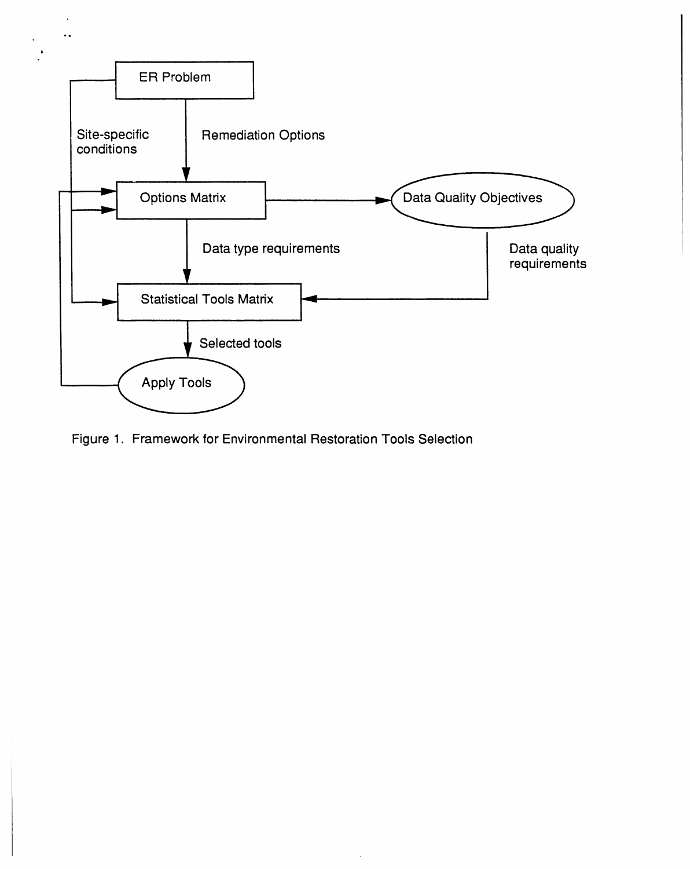

Figure 1. Framework for Environmental Restoration Tools Selection

ot

 $\bar{\mathbf{v}}$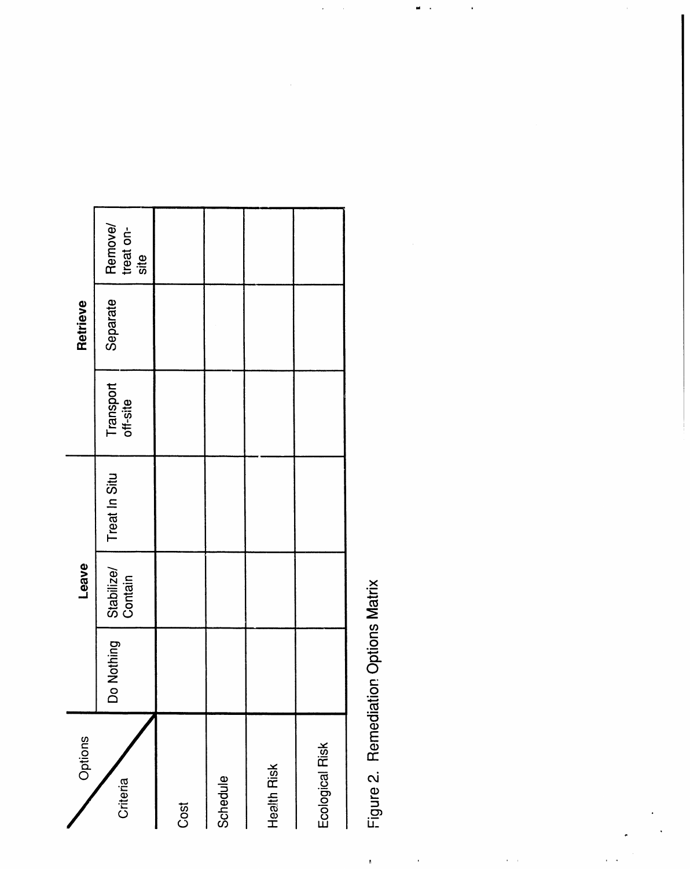| Options         |                   | Leave                 |               |                       | Retrieve |                              |
|-----------------|-------------------|-----------------------|---------------|-----------------------|----------|------------------------------|
| Criteria        | lothing<br>Ž<br>O | Stabilize/<br>Contain | Treat In Situ | Transport<br>off-site | Separate | Remove/<br>treat on-<br>site |
| Cost            |                   |                       |               |                       |          |                              |
| Schedule        |                   |                       |               |                       |          |                              |
| Health Risk     |                   |                       |               |                       |          |                              |
| Ecological Risk |                   |                       |               |                       |          |                              |

Figure 2. Remediation Options Matrix

 $\mathbf{r}$ 

 $\frac{1}{\sqrt{2}}$ 

 $\alpha_{\rm c}$  ,  $\alpha_{\rm c}$ 

 $\frac{1}{2}$ 

 $\omega_{\rm{eff}}$  .

×,

 $\frac{1}{2}$ 

 $\ddot{\phantom{0}}$ 

 $\cdot$ 

 $\frac{1}{2}$  ,

 $\hat{r}$  ,  $\hat{r}$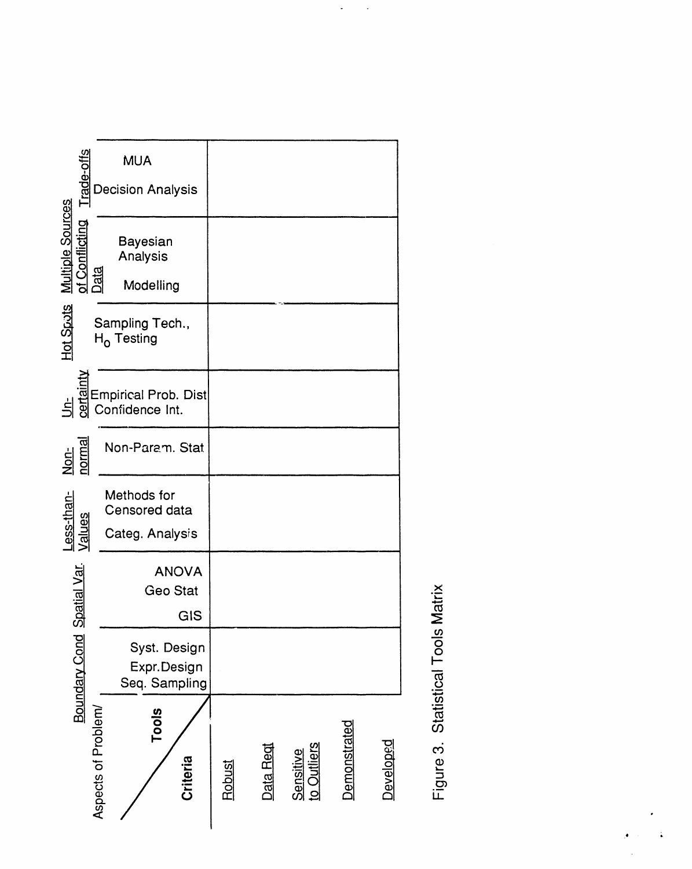

Statistical Tools Matrix Figure 3.

 $\ddot{\phantom{a}}$